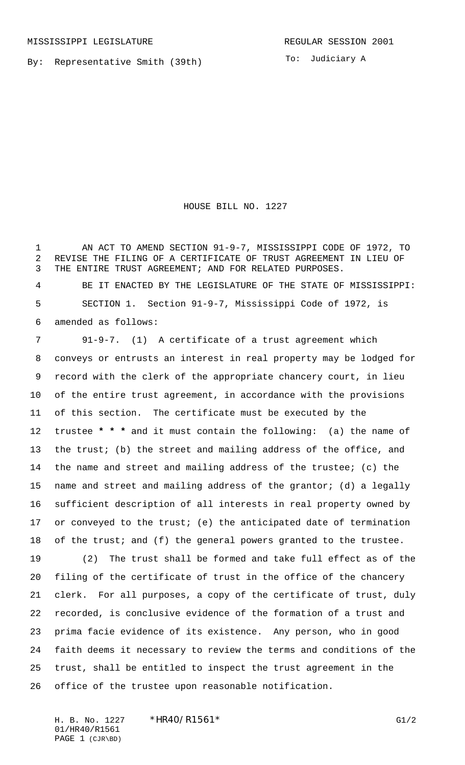By: Representative Smith (39th)

To: Judiciary A

HOUSE BILL NO. 1227

1 AN ACT TO AMEND SECTION 91-9-7, MISSISSIPPI CODE OF 1972, TO REVISE THE FILING OF A CERTIFICATE OF TRUST AGREEMENT IN LIEU OF THE ENTIRE TRUST AGREEMENT; AND FOR RELATED PURPOSES. BE IT ENACTED BY THE LEGISLATURE OF THE STATE OF MISSISSIPPI: SECTION 1. Section 91-9-7, Mississippi Code of 1972, is amended as follows:

 91-9-7. (1) A certificate of a trust agreement which conveys or entrusts an interest in real property may be lodged for record with the clerk of the appropriate chancery court, in lieu of the entire trust agreement, in accordance with the provisions of this section. The certificate must be executed by the trustee **\* \* \*** and it must contain the following: (a) the name of the trust; (b) the street and mailing address of the office, and the name and street and mailing address of the trustee; (c) the name and street and mailing address of the grantor; (d) a legally sufficient description of all interests in real property owned by or conveyed to the trust; (e) the anticipated date of termination 18 of the trust; and (f) the general powers granted to the trustee. (2) The trust shall be formed and take full effect as of the filing of the certificate of trust in the office of the chancery clerk. For all purposes, a copy of the certificate of trust, duly recorded, is conclusive evidence of the formation of a trust and prima facie evidence of its existence. Any person, who in good faith deems it necessary to review the terms and conditions of the trust, shall be entitled to inspect the trust agreement in the office of the trustee upon reasonable notification.

H. B. No. 1227 \* HR40/R1561\* G1/2 01/HR40/R1561 PAGE 1 (CJR\BD)